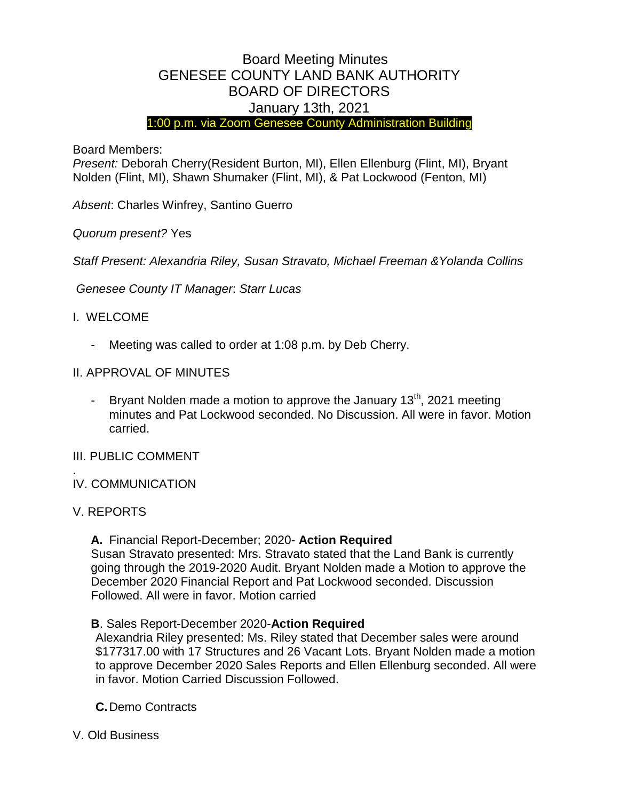# Board Meeting Minutes GENESEE COUNTY LAND BANK AUTHORITY BOARD OF DIRECTORS January 13th, 2021

1:00 p.m. via Zoom Genesee County Administration Building

Board Members:

*Present:* Deborah Cherry(Resident Burton, MI), Ellen Ellenburg (Flint, MI), Bryant Nolden (Flint, MI), Shawn Shumaker (Flint, MI), & Pat Lockwood (Fenton, MI)

*Absent*: Charles Winfrey, Santino Guerro

*Quorum present?* Yes

*Staff Present: Alexandria Riley, Susan Stravato, Michael Freeman &Yolanda Collins*

*Genesee County IT Manager*: *Starr Lucas*

# I. WELCOME

- Meeting was called to order at 1:08 p.m. by Deb Cherry.
- II. APPROVAL OF MINUTES
	- Bryant Nolden made a motion to approve the January  $13<sup>th</sup>$ , 2021 meeting minutes and Pat Lockwood seconded. No Discussion. All were in favor. Motion carried.

## III. PUBLIC COMMENT

- . IV. COMMUNICATION
- V. REPORTS

## **A.** Financial Report-December; 2020- **Action Required**

Susan Stravato presented: Mrs. Stravato stated that the Land Bank is currently going through the 2019-2020 Audit. Bryant Nolden made a Motion to approve the December 2020 Financial Report and Pat Lockwood seconded. Discussion Followed. All were in favor. Motion carried

## **B**. Sales Report-December 2020-**Action Required**

Alexandria Riley presented: Ms. Riley stated that December sales were around \$177317.00 with 17 Structures and 26 Vacant Lots. Bryant Nolden made a motion to approve December 2020 Sales Reports and Ellen Ellenburg seconded. All were in favor. Motion Carried Discussion Followed.

- **C.**Demo Contracts
- V. Old Business